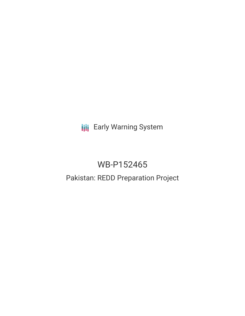**III** Early Warning System

# WB-P152465

## Pakistan: REDD Preparation Project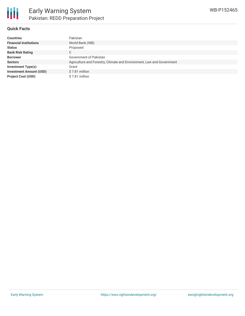

#### **Quick Facts**

| <b>Countries</b>               | Pakistan                                                              |
|--------------------------------|-----------------------------------------------------------------------|
| <b>Financial Institutions</b>  | World Bank (WB)                                                       |
| <b>Status</b>                  | Proposed                                                              |
| <b>Bank Risk Rating</b>        | С                                                                     |
| <b>Borrower</b>                | Government of Pakistan                                                |
| <b>Sectors</b>                 | Agriculture and Forestry, Climate and Environment, Law and Government |
| <b>Investment Type(s)</b>      | Grant                                                                 |
| <b>Investment Amount (USD)</b> | \$7.81 million                                                        |
| <b>Project Cost (USD)</b>      | \$7.81 million                                                        |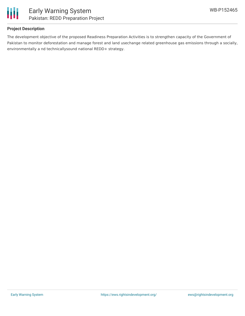

#### **Project Description**

The development objective of the proposed Readiness Preparation Activities is to strengthen capacity of the Government of Pakistan to monitor deforestation and manage forest and land usechange related greenhouse gas emissions through a socially, environmentally a nd technicallysound national REDD+ strategy.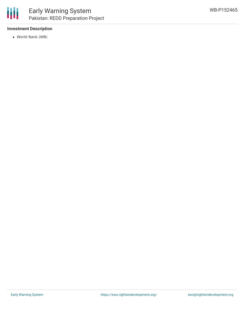#### **Investment Description**

World Bank (WB)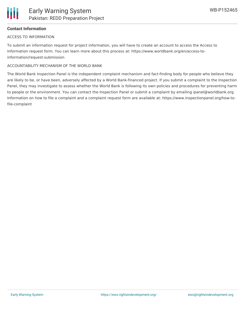### **Contact Information**

#### ACCESS TO INFORMATION

To submit an information request for project information, you will have to create an account to access the Access to Information request form. You can learn more about this process at: https://www.worldbank.org/en/access-toinformation/request-submission

#### ACCOUNTABILITY MECHANISM OF THE WORLD BANK

The World Bank Inspection Panel is the independent complaint mechanism and fact-finding body for people who believe they are likely to be, or have been, adversely affected by a World Bank-financed project. If you submit a complaint to the Inspection Panel, they may investigate to assess whether the World Bank is following its own policies and procedures for preventing harm to people or the environment. You can contact the Inspection Panel or submit a complaint by emailing ipanel@worldbank.org. Information on how to file a complaint and a complaint request form are available at: https://www.inspectionpanel.org/how-tofile-complaint